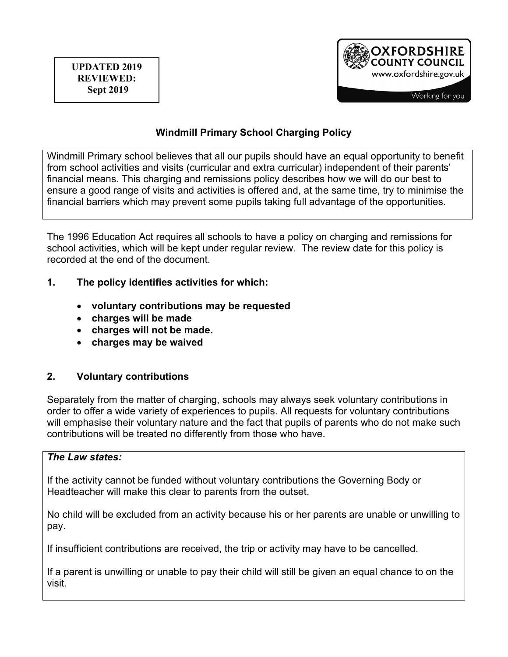

# **Windmill Primary School Charging Policy**

Windmill Primary school believes that all our pupils should have an equal opportunity to benefit from school activities and visits (curricular and extra curricular) independent of their parents' financial means. This charging and remissions policy describes how we will do our best to ensure a good range of visits and activities is offered and, at the same time, try to minimise the financial barriers which may prevent some pupils taking full advantage of the opportunities.

The 1996 Education Act requires all schools to have a policy on charging and remissions for school activities, which will be kept under regular review. The review date for this policy is recorded at the end of the document.

- **1. The policy identifies activities for which:** 
	- **voluntary contributions may be requested**
	- **charges will be made**
	- **charges will not be made.**
	- **charges may be waived**

### **2. Voluntary contributions**

Separately from the matter of charging, schools may always seek voluntary contributions in order to offer a wide variety of experiences to pupils. All requests for voluntary contributions will emphasise their voluntary nature and the fact that pupils of parents who do not make such contributions will be treated no differently from those who have.

#### *The Law states:*

If the activity cannot be funded without voluntary contributions the Governing Body or Headteacher will make this clear to parents from the outset.

No child will be excluded from an activity because his or her parents are unable or unwilling to pay.

If insufficient contributions are received, the trip or activity may have to be cancelled.

If a parent is unwilling or unable to pay their child will still be given an equal chance to on the visit.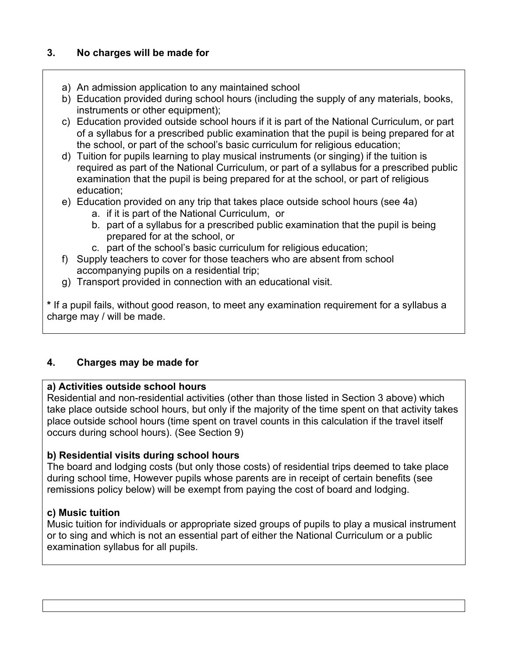# **3. No charges will be made for**

- a) An admission application to any maintained school
- b) Education provided during school hours (including the supply of any materials, books, instruments or other equipment):
- c) Education provided outside school hours if it is part of the National Curriculum, or part of a syllabus for a prescribed public examination that the pupil is being prepared for at the school, or part of the school's basic curriculum for religious education;
- d) Tuition for pupils learning to play musical instruments (or singing) if the tuition is required as part of the National Curriculum, or part of a syllabus for a prescribed public examination that the pupil is being prepared for at the school, or part of religious education;
- e) Education provided on any trip that takes place outside school hours (see 4a)
	- a. if it is part of the National Curriculum, or
	- b. part of a syllabus for a prescribed public examination that the pupil is being prepared for at the school, or
	- c. part of the school's basic curriculum for religious education;
- f) Supply teachers to cover for those teachers who are absent from school accompanying pupils on a residential trip;
- g) Transport provided in connection with an educational visit.

**\*** If a pupil fails, without good reason, to meet any examination requirement for a syllabus a charge may / will be made.

# **4. Charges may be made for**

# **a) Activities outside school hours**

Residential and non-residential activities (other than those listed in Section 3 above) which take place outside school hours, but only if the majority of the time spent on that activity takes place outside school hours (time spent on travel counts in this calculation if the travel itself occurs during school hours). (See Section 9)

# **b) Residential visits during school hours**

The board and lodging costs (but only those costs) of residential trips deemed to take place during school time, However pupils whose parents are in receipt of certain benefits (see remissions policy below) will be exempt from paying the cost of board and lodging.

# **c) Music tuition**

Music tuition for individuals or appropriate sized groups of pupils to play a musical instrument or to sing and which is not an essential part of either the National Curriculum or a public examination syllabus for all pupils.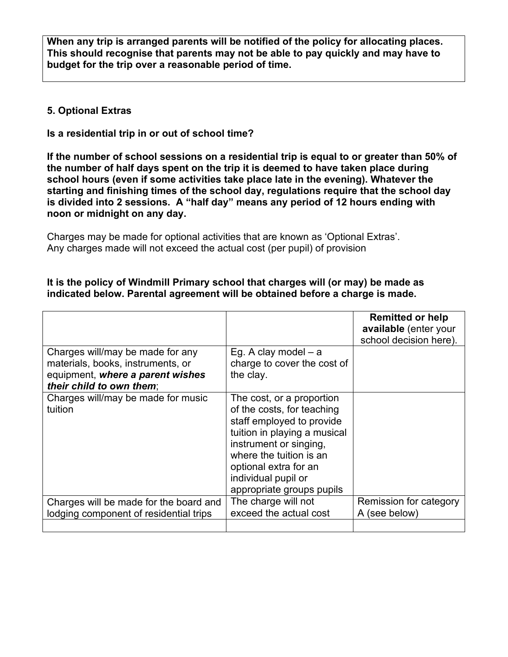**When any trip is arranged parents will be notified of the policy for allocating places. This should recognise that parents may not be able to pay quickly and may have to budget for the trip over a reasonable period of time.**

### **5. Optional Extras**

**Is a residential trip in or out of school time?**

**If the number of school sessions on a residential trip is equal to or greater than 50% of the number of half days spent on the trip it is deemed to have taken place during school hours (even if some activities take place late in the evening). Whatever the starting and finishing times of the school day, regulations require that the school day is divided into 2 sessions. A "half day" means any period of 12 hours ending with noon or midnight on any day.** 

Charges may be made for optional activities that are known as 'Optional Extras'. Any charges made will not exceed the actual cost (per pupil) of provision

### **It is the policy of Windmill Primary school that charges will (or may) be made as indicated below. Parental agreement will be obtained before a charge is made.**

|                                                                                                                                       |                                                                                                                                                                                                                                                        | <b>Remitted or help</b><br>available (enter your<br>school decision here). |
|---------------------------------------------------------------------------------------------------------------------------------------|--------------------------------------------------------------------------------------------------------------------------------------------------------------------------------------------------------------------------------------------------------|----------------------------------------------------------------------------|
| Charges will/may be made for any<br>materials, books, instruments, or<br>equipment, where a parent wishes<br>their child to own them: | Eg. A clay model $-$ a<br>charge to cover the cost of<br>the clay.                                                                                                                                                                                     |                                                                            |
| Charges will/may be made for music<br>tuition                                                                                         | The cost, or a proportion<br>of the costs, for teaching<br>staff employed to provide<br>tuition in playing a musical<br>instrument or singing,<br>where the tuition is an<br>optional extra for an<br>individual pupil or<br>appropriate groups pupils |                                                                            |
| Charges will be made for the board and<br>lodging component of residential trips                                                      | The charge will not<br>exceed the actual cost                                                                                                                                                                                                          | Remission for category<br>A (see below)                                    |
|                                                                                                                                       |                                                                                                                                                                                                                                                        |                                                                            |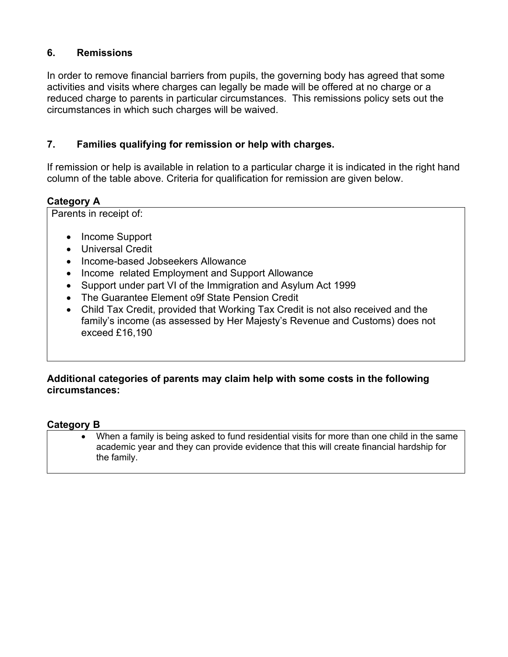# **6. Remissions**

In order to remove financial barriers from pupils, the governing body has agreed that some activities and visits where charges can legally be made will be offered at no charge or a reduced charge to parents in particular circumstances. This remissions policy sets out the circumstances in which such charges will be waived.

# **7. Families qualifying for remission or help with charges.**

If remission or help is available in relation to a particular charge it is indicated in the right hand column of the table above. Criteria for qualification for remission are given below.

# **Category A**

Parents in receipt of:

- Income Support
- Universal Credit
- Income-based Jobseekers Allowance
- Income related Employment and Support Allowance
- Support under part VI of the Immigration and Asylum Act 1999
- The Guarantee Element o9f State Pension Credit
- Child Tax Credit, provided that Working Tax Credit is not also received and the family's income (as assessed by Her Majesty's Revenue and Customs) does not exceed £16,190

# **Additional categories of parents may claim help with some costs in the following circumstances:**

### **Category B**

• When a family is being asked to fund residential visits for more than one child in the same academic year and they can provide evidence that this will create financial hardship for the family.